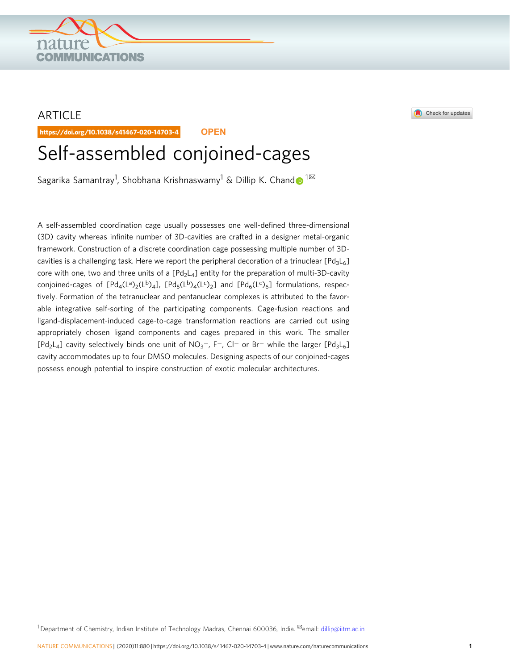## ARTICLE

https://doi.org/10.1038/s41467-020-14703-4 **OPEN**

**COMMUNICATIONS** 

# Self-assembled conjoined-cages

Sagarika Samantray<sup>1</sup>, Shobhana Krishnaswamy<sup>1</sup> & Dillip K. Chan[d](http://orcid.org/0000-0003-1115-0138) $\rm \odot ^{1box}$  $\rm \odot ^{1box}$  $\rm \odot ^{1box}$ 

A self-assembled coordination cage usually possesses one well-defined three-dimensional (3D) cavity whereas infinite number of 3D-cavities are crafted in a designer metal-organic framework. Construction of a discrete coordination cage possessing multiple number of 3Dcavities is a challenging task. Here we report the peripheral decoration of a trinuclear  $[Pd_3L_6]$ core with one, two and three units of a  $[Pd_2L_4]$  entity for the preparation of multi-3D-cavity conjoined-cages of [Pd<sub>4</sub>(L<sup>a</sup>)<sub>2</sub>(L<sup>b</sup>)<sub>4</sub>], [Pd<sub>5</sub>(L<sup>b</sup>)<sub>4</sub>(L<sup>c</sup>)<sub>2</sub>] and [Pd<sub>6</sub>(L<sup>c</sup>)<sub>6</sub>] formulations, respectively. Formation of the tetranuclear and pentanuclear complexes is attributed to the favorable integrative self-sorting of the participating components. Cage-fusion reactions and ligand-displacement-induced cage-to-cage transformation reactions are carried out using appropriately chosen ligand components and cages prepared in this work. The smaller [Pd<sub>2</sub>L<sub>4</sub>] cavity selectively binds one unit of NO<sub>3</sub><sup>-</sup>, F<sup>-</sup>, Cl<sup>-</sup> or Br<sup>-</sup> while the larger [Pd<sub>3</sub>L<sub>6</sub>] cavity accommodates up to four DMSO molecules. Designing aspects of our conjoined-cages possess enough potential to inspire construction of exotic molecular architectures.

Check for updates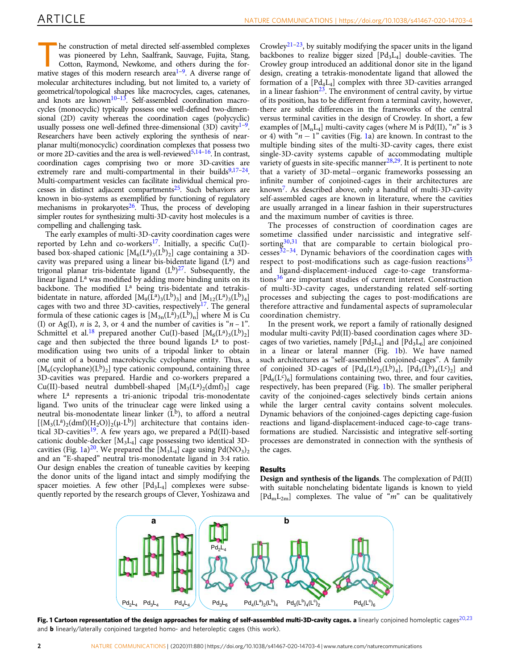<span id="page-1-0"></span>T he construction of metal directed self-assembled complexes was pioneered by Lehn, Saalfrank, Sauvage, Fujita, Stang, Cotton, Raymond, Newkome, and others during the for-mative stages of this modern research area<sup>[1](#page-9-0)-[9](#page-9-0)</sup>. A diverse range of molecular architectures including, but not limited to, a variety of geometrical/topological shapes like macrocycles, cages, catenanes, and knots are known<sup>[10](#page-9-0)–[13](#page-9-0)</sup>. Self-assembled coordination macrocycles (monocyclic) typically possess one well-defined two-dimensional (2D) cavity whereas the coordination cages (polycyclic) usually possess one well-defined three-dimensional  $(3D)$  cavity<sup>[1](#page-9-0)-[9](#page-9-0)</sup>. Researchers have been actively exploring the synthesis of nearplanar multi(monocyclic) coordination complexes that possess two or more 2D-cavities and the area is well-reviewed<sup>[5,14](#page-9-0)–[16](#page-9-0)</sup>. In contrast, coordination cages comprising two or more 3D-cavities are extremely rare and multi-compartmental in their builds $9,17-24$  $9,17-24$  $9,17-24$  $9,17-24$  $9,17-24$ . Multi-compartment vesicles can facilitate individual chemical processes in distinct adjacent compartments[25](#page-9-0). Such behaviors are known in bio-systems as exemplified by functioning of regulatory mechanisms in prokaryotes $26$ . Thus, the process of developing simpler routes for synthesizing multi-3D-cavity host molecules is a compelling and challenging task.

The early examples of multi-3D-cavity coordination cages were reported by Lehn and co-workers<sup>[17](#page-9-0)</sup>. Initially, a specific Cu(I)based box-shaped cationic  $[M_6(\mathrm{L}^a)_3(\mathrm{L}^b)_2]$  cage containing a 3Dcavity was prepared using a linear bis-bidentate ligand  $(L<sup>a</sup>)$  and trigonal planar tris-bidentate ligand  $(L^{b})^{27}$  $(L^{b})^{27}$  $(L^{b})^{27}$ . Subsequently, the linear ligand L<sup>a</sup> was modified by adding more binding units on its backbone. The modified L<sup>a</sup> being tris-bidentate and tetrakisbidentate in nature, afforded  $[M_9(\dot{L}^a)_3(L^b)_3]$  and  $[M_{12}(L^a)_3(L^b)_4]$ cages with two and three 3D-cavities, respectively<sup>[17](#page-9-0)</sup>. The general formula of these cationic cages is  $[M_{3n}(L^a)_3(L^b)_n]$  where M is Cu (I) or Ag(I), *n* is 2, 3, or 4 and the number of cavities is " $n-1$ ". Schmittel et al.<sup>[18](#page-9-0)</sup> prepared another Cu(I)-based  $[M_6(L^a)_3(L^b)_2]$ cage and then subjected the three bound ligands L<sup>a</sup> to postmodification using two units of a tripodal linker to obtain one unit of a bound macrobicyclic cyclophane entity. Thus, a  $[M_6$ (cyclophane)(L<sup>b</sup>)<sub>2</sub>] type cationic compound, containing three 3D-cavities was prepared. Hardie and co-workers prepared a Cu(II)-based neutral dumbbell-shaped  $[M_3(L^a)_2(dmf)_3]$  cage where L<sup>a</sup> represents a tri-anionic tripodal tris-monodentate ligand. Two units of the trinuclear cage were linked using a neutral bis-monodentate linear linker  $(L^b)$ , to afford a neutral  $[{M_3(L^a)_2(dmf)(H_2O)}_2(\mu-L^b)]$  architecture that contains iden-tical 3D-cavities<sup>[19](#page-9-0)</sup>. A few years ago, we prepared a Pd(II)-based cationic double-decker [M3L<sup>4</sup> ] cage possessing two identical 3D-cavities (Fig. 1a)<sup>[20](#page-9-0)</sup>. We prepared the [M<sub>3</sub>L<sub>4</sub>] cage using Pd(NO<sub>3</sub>)<sub>2</sub> and an "E-shaped" neutral tris-monodentate ligand in 3:4 ratio. Our design enables the creation of tuneable cavities by keeping the donor units of the ligand intact and simply modifying the spacer moieties. A few other  $[Pd_3L_4]$  complexes were subsequently reported by the research groups of Clever, Yoshizawa and

Crowley<sup>[21](#page-9-0)–[23](#page-9-0)</sup>, by suitably modifying the spacer units in the ligand backbones to realize bigger sized  $[{\rm Pd}_3{\rm L}_4]$  double-cavities. The Crowley group introduced an additional donor site in the ligand design, creating a tetrakis-monodentate ligand that allowed the formation of a  $[Pd_4L_4]$  complex with three 3D-cavities arranged in a linear fashion $^{23}$  $^{23}$  $^{23}$ . The environment of central cavity, by virtue of its position, has to be different from a terminal cavity, however, there are subtle differences in the frameworks of the central versus terminal cavities in the design of Crowley. In short, a few examples of [M<sub>n</sub>L<sub>4</sub>] multi-cavity cages (where M is Pd(II), "n" is 3 or 4) with " $n - 1$ " cavities (Fig. 1a) are known. In contrast to the multiple binding sites of the multi-3D-cavity cages, there exist single-3D-cavity systems capable of accommodating multiple variety of guests in site-specific manner $28,29$ . It is pertinent to note that a variety of 3D-metal−organic frameworks possessing an infinite number of conjoined-cages in their architectures are known[7](#page-9-0) . As described above, only a handful of multi-3D-cavity self-assembled cages are known in literature, where the cavities are usually arranged in a linear fashion in their superstructures and the maximum number of cavities is three.

The processes of construction of coordination cages are sometime classified under narcissistic and integrative selfsorting $30,31$  that are comparable to certain biological pro-cesses<sup>[32](#page-9-0)-[34](#page-9-0)</sup>. Dynamic behaviors of the coordination cages with respect to post-modifications such as cage-fusion reactions $35$ and ligand-displacement-induced cage-to-cage transformations[36](#page-9-0) are important studies of current interest. Construction of multi-3D-cavity cages, understanding related self-sorting processes and subjecting the cages to post-modifications are therefore attractive and fundamental aspects of supramolecular coordination chemistry.

In the present work, we report a family of rationally designed modular multi-cavity Pd(II)-based coordination cages where 3Dcages of two varieties, namely  $[{\rm Pd}_2{\rm L}_4]$  and  $[{\rm Pd}_3{\rm L}_6]$  are conjoined in a linear or lateral manner (Fig. 1b). We have named such architectures as "self-assembled conjoined*-*cages". A family of conjoined 3D-cages of  $[Pd_4(L^a)_2(L^b)_4]$ ,  $[Pd_5(L^b)_4(L^c)_2]$  and  $[Pd_6(L<sup>c</sup>)<sub>6</sub>]$  formulations containing two, three, and four cavities, respectively, has been prepared (Fig. 1b). The smaller peripheral cavity of the conjoined-cages selectively binds certain anions while the larger central cavity contains solvent molecules. Dynamic behaviors of the conjoined-cages depicting cage-fusion reactions and ligand-displacement-induced cage-to-cage transformations are studied. Narcissistic and integrative self-sorting processes are demonstrated in connection with the synthesis of the cages.

#### Results

Design and synthesis of the ligands. The complexation of Pd(II) with suitable nonchelating bidentate ligands is known to yield [PdmL2m] complexes. The value of "*m*" can be qualitatively



Fig. 1 Cartoon representation of the design approaches for making of self-assembled multi-3D-cavity cages. a linearly conjoined homoleptic cages<sup>[20,23](#page-9-0)</sup> and b linearly/laterally conjoined targeted homo- and heteroleptic cages (this work).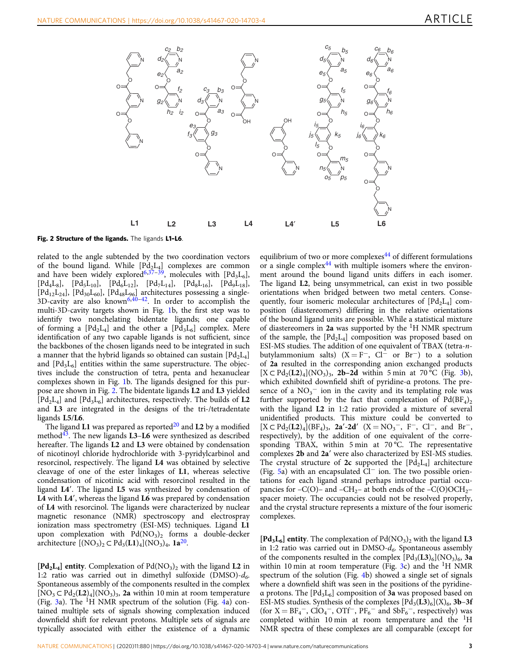

Fig. 2 Structure of the ligands. The ligands L1-L6.

related to the angle subtended by the two coordination vectors of the bound ligand. While  $[{\rm Pd}_2{\rm L}_4]$  complexes are common and have been widely explored<sup>[6,37](#page-9-0)–[39](#page-9-0)</sup>, molecules with  $[{\rm Pd}_3{\rm L}_6]$ ,  $[Pd_4L_8]$ ,  $[Pd_5L_{10}]$ ,  $[Pd_6L_{12}]$ ,  $[Pd_7L_{14}]$ ,  $[Pd_8L_{16}]$ ,  $[Pd_9L_{18}]$ ,  $[Pd_{12}L_{24}]$ ,  $[Pd_{30}L_{60}]$  $[Pd_{30}L_{60}]$  $[Pd_{30}L_{60}]$ ,  $[Pd_{48}L_{96}]$  architectures possessing a single-<br>3D-cavity are also known<sup>6,[40](#page-9-0)–[42](#page-9-0)</sup>. In order to accomplish the multi-3D-cavity targets shown in Fig. [1b](#page-1-0), the first step was to identify two nonchelating bidentate ligands; one capable of forming a  $[{\rm Pd}_{2}{\rm L}_{4}]$  and the other a  $[{\rm Pd}_{3}{\rm L}_{6}]$  complex. Mere identification of any two capable ligands is not sufficient, since the backbones of the chosen ligands need to be integrated in such a manner that the hybrid ligands so obtained can sustain  $[\text{Pd}_2 \text{L}_4]$ and  $[{\rm Pd}_3{\rm L}_6]$  entities within the same superstructure. The objectives include the construction of tetra, penta and hexanuclear complexes shown in Fig. [1b](#page-1-0). The ligands designed for this purpose are shown in Fig. 2. The bidentate ligands L2 and L3 yielded  $[\text{Pd}_2L_4]$  and  $[\text{Pd}_3L_6]$  architectures, respectively. The builds of L2 and L3 are integrated in the designs of the tri-/tetradentate ligands L5/L6.

The ligand L1 was prepared as reported $20$  and L2 by a modified method<sup>[43](#page-9-0)</sup>. The new ligands  $L3-L6$  were synthesized as described hereafter. The ligands L2 and L3 were obtained by condensation of nicotinoyl chloride hydrochloride with 3-pyridylcarbinol and resorcinol, respectively. The ligand L4 was obtained by selective cleavage of one of the ester linkages of L1, whereas selective condensation of nicotinic acid with resorcinol resulted in the ligand L4′. The ligand L5 was synthesized by condensation of L4 with L4′, whereas the ligand L6 was prepared by condensation of L4 with resorcinol. The ligands were characterized by nuclear magnetic resonance (NMR) spectroscopy and electrospray ionization mass spectrometry (ESI-MS) techniques. Ligand L1 upon complexation with  $Pd(NO<sub>3</sub>)<sub>2</sub>$  forms a double-decker architecture  $[(NO<sub>3</sub>)<sub>2</sub> \subset Pd<sub>3</sub>(LI)<sub>4</sub>](NO<sub>3</sub>)<sub>4</sub>$ , 1a<sup>[20](#page-9-0)</sup>.

 $[\text{Pd}_2\text{L}_4]$  entity. Complexation of  $\text{Pd}(\text{NO}_3)_2$  with the ligand L2 in 1:2 ratio was carried out in dimethyl sulfoxide (DMSO)-*d<sup>6</sup>* . Spontaneous assembly of the components resulted in the complex  $[NO<sub>3</sub> \subset Pd<sub>2</sub>(L2)<sub>4</sub>](NO<sub>3</sub>)<sub>3</sub>$ , 2a within 10 min at room temperature (Fig. [3a](#page-3-0)). The <sup>1</sup>H NMR spectrum of the solution (Fig. [4a](#page-4-0)) contained multiple sets of signals showing complexation induced downfield shift for relevant protons. Multiple sets of signals are typically associated with either the existence of a dynamic

equilibrium of two or more complexes<sup>[44](#page-9-0)</sup> of different formulations or a single complex<sup>[44](#page-9-0)</sup> with multiple isomers where the environment around the bound ligand units differs in each isomer. The ligand L2, being unsymmetrical, can exist in two possible orientations when bridged between two metal centers. Consequently, four isomeric molecular architectures of  $[Pd_2L_4]$  composition (diastereomers) differing in the relative orientations of the bound ligand units are possible. While a statistical mixture of diastereomers in 2a was supported by the  ${}^{1}$ H NMR spectrum of the sample, the  $[{\rm Pd}_2{\rm L}_4]$  composition was proposed based on ESI-MS studies. The addition of one equivalent of TBAX (tetra-*n*butylammonium salts) ( $X = F^{-}$ ,  $Cl^{-}$  or  $Br^{-}$ ) to a solution of 2a resulted in the corresponding anion exchanged products [X ⊂ Pd<sub>2</sub>(**L2**)<sub>4</sub>](NO<sub>3</sub>)<sub>3</sub>, **2b-2d** within 5 min at 70 °C (Fig. [3b](#page-3-0)), which exhibited downfield shift of pyridine-α protons. The presence of a  $NO_3$ <sup>-</sup> ion in the cavity and its templating role was further supported by the fact that complexation of  $Pd(BF_4)_2$ with the ligand L2 in 1:2 ratio provided a mixture of several unidentified products. This mixture could be converted to  $[X \subset \text{Pd}_2(L2)_4](BF_4)_3$ , 2a'-2d'  $(X = NO_3^-$ , F<sup>-</sup>, Cl<sup>-</sup>, and Br<sup>-</sup>, respectively), by the addition of one equivalent of the corresponding TBAX, within 5 min at 70 °C. The representative complexes 2b and 2a′ were also characterized by ESI-MS studies. The crystal structure of  $2c$  supported the  $[Pd_2L_4]$  architecture (Fig. [5a](#page-4-0)) with an encapsulated Cl<sup>−</sup> ion. The two possible orientations for each ligand strand perhaps introduce partial occupancies for –C(O)– and –CH<sub>2</sub>– at both ends of the –C(O)OCH<sub>2</sub>– spacer moiety. The occupancies could not be resolved properly, and the crystal structure represents a mixture of the four isomeric complexes.

 $[\text{Pd}_3\text{L}_6]$  entity. The complexation of  $\text{Pd}(\text{NO}_3)_2$  with the ligand L3 in 1:2 ratio was carried out in DMSO-*d<sup>6</sup>* . Spontaneous assembly of the components resulted in the complex  $[{\rm Pd}_{3}(\mathbf{L3})_{6}]({\rm NO}_{3})_{6}$ , 3a within 10 min at room temperature (Fig. [3c](#page-3-0)) and the  ${}^{1}$ H NMR spectrum of the solution (Fig. [4b](#page-4-0)) showed a single set of signals where a downfield shift was seen in the positions of the pyridineα protons. The  $[Pd_3L_6]$  composition of 3a was proposed based on ESI-MS studies. Synthesis of the complexes  $[\text{Pd}_3(\text{L3})_6](X)_6$ , 3b-3f (for  $X = BF_4^-$ , ClO<sub>4</sub><sup>-</sup>, OTf<sup>-</sup>, PF<sub>6</sub><sup>-</sup> and SbF<sub>6</sub><sup>-</sup>, respectively) was completed within 10 min at room temperature and the <sup>1</sup>H NMR spectra of these complexes are all comparable (except for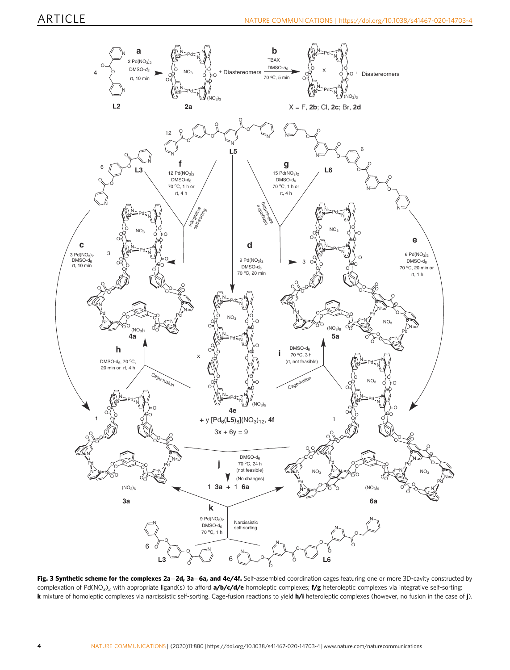<span id="page-3-0"></span>

Fig. 3 Synthetic scheme for the complexes 2a-2d, 3a-6a, and 4e/4f. Self-assembled coordination cages featuring one or more 3D-cavity constructed by complexation of Pd(NO<sub>3</sub>)<sub>2</sub> with appropriate ligand(s) to afford **a/b/c/d/e** homoleptic complexes; **f/g** heteroleptic complexes via integrative self-sorting; k mixture of homoleptic complexes via narcissistic self-sorting. Cage-fusion reactions to yield h/i heteroleptic complexes (however, no fusion in the case of j).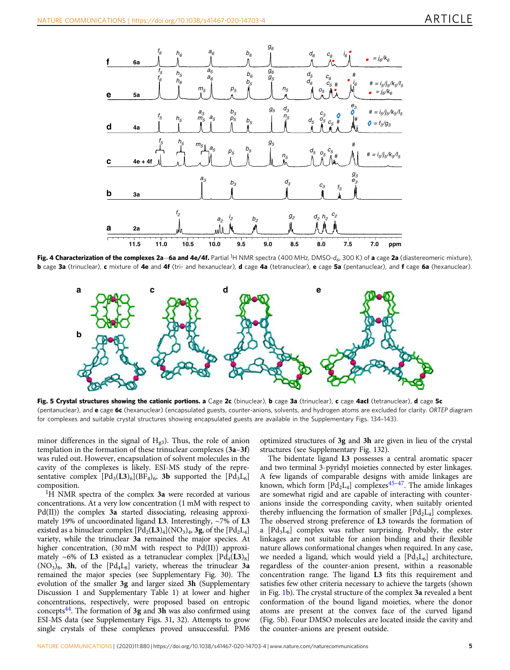<span id="page-4-0"></span>

Fig. 4 Characterization of the complexes 2a–6a and 4e/4f. Partial <sup>1</sup>H NMR spectra (400 MHz, DMSO-d<sub>6</sub>, 300 K) of a cage 2a (diastereomeric mixture), b cage 3a (trinuclear), c mixture of 4e and 4f (tri- and hexanuclear), d cage 4a (tetranuclear), e cage 5a (pentanuclear), and f cage 6a (hexanuclear).



Fig. 5 Crystal structures showing the cationic portions. a Cage 2c (binuclear), b cage 3a (trinuclear), c cage 4acl (tetranuclear), d cage 5c (pentanuclear), and e cage 6c (hexanuclear) (encapsulated guests, counter-anions, solvents, and hydrogen atoms are excluded for clarity. ORTEP diagram for complexes and suitable crystal structures showing encapsulated guests are available in the Supplementary Figs. 134–143).

minor differences in the signal of  $H<sub>g3</sub>$ ). Thus, the role of anion templation in the formation of these trinuclear complexes (3a–3f) was ruled out. However, encapsulation of solvent molecules in the cavity of the complexes is likely. ESI-MS study of the representative complex  $[\text{Pd}_{3}(\text{L3})_{6}](\text{BF}_{4})_{6}$ , 3b supported the  $[\text{Pd}_{3}\text{L}_{6}]$ composition.

<sup>1</sup>H NMR spectra of the complex 3a were recorded at various concentrations. At a very low concentration (1 mM with respect to Pd(II)) the complex 3a started dissociating, releasing approximately 19% of uncoordinated ligand L3. Interestingly, ~7% of L3 existed as a binuclear complex  $[\text{Pd}_{2}(\textbf{L3})_{4}](\text{NO}_{3})_{4}$ , 3g, of the  $[\text{Pd}_{2}\text{L}_{4}]$ variety, while the trinuclear 3a remained the major species. At higher concentration, (30 mM with respect to Pd(II)) approximately ~6% of **L3** existed as a tetranuclear complex  $[{\rm Pd}_4(\mathbf{L3})_8]$  $(NO<sub>3</sub>)<sub>8</sub>$ , 3h, of the  $[Pd<sub>4</sub>L<sub>8</sub>]$  variety, whereas the trinuclear 3a remained the major species (see Supplementary Fig. 30). The evolution of the smaller 3g and larger sized 3h (Supplementary Discussion 1 and Supplementary Table 1) at lower and higher concentrations, respectively, were proposed based on entropic concepts $44$ . The formation of 3g and 3h was also confirmed using ESI-MS data (see Supplementary Figs. 31, 32). Attempts to grow single crystals of these complexes proved unsuccessful. PM6 optimized structures of 3g and 3h are given in lieu of the crystal structures (see Supplementary Fig. 132).

The bidentate ligand L3 possesses a central aromatic spacer and two terminal 3-pyridyl moieties connected by ester linkages. A few ligands of comparable designs with amide linkages are known, which form  $[ Pd_2L_4 ]$  complexes<sup>[45](#page-10-0)-[47](#page-10-0)</sup>. The amide linkages are somewhat rigid and are capable of interacting with counteranions inside the corresponding cavity, when suitably oriented thereby influencing the formation of smaller  $[Pd_2L_4]$  complexes. The observed strong preference of L3 towards the formation of a  $[{\rm Pd}_3{\rm L}_6]$  complex was rather surprising. Probably, the ester linkages are not suitable for anion binding and their flexible nature allows conformational changes when required. In any case, we needed a ligand, which would yield a  $[Pd_3L_6]$  architecture, regardless of the counter-anion present, within a reasonable concentration range. The ligand L3 fits this requirement and satisfies few other criteria necessary to achieve the targets (shown in Fig. [1b](#page-1-0)). The crystal structure of the complex 3a revealed a bent conformation of the bound ligand moieties, where the donor atoms are present at the convex face of the curved ligand (Fig. 5b). Four DMSO molecules are located inside the cavity and the counter-anions are present outside.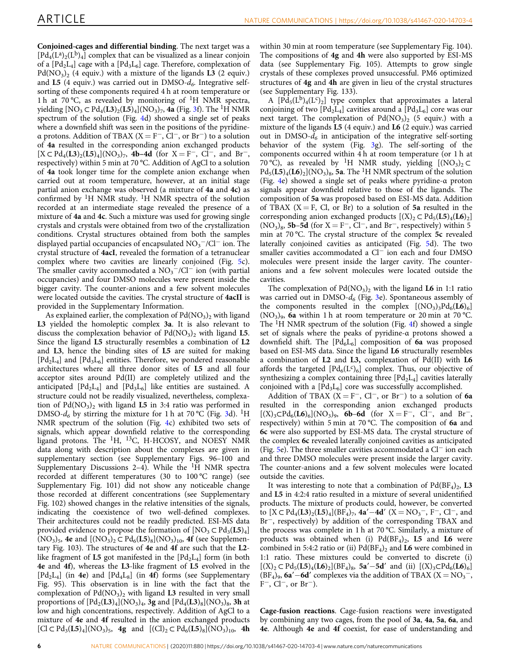Conjoined-cages and differential binding. The next target was a  $[Pd_4(L^a)_2(L^b)_4]$  complex that can be visualized as a linear conjoin of a  $[{\rm Pd}_2{\rm L}_4]$  cage with a  $[{\rm Pd}_3{\rm L}_6]$  cage. Therefore, complexation of  $Pd(NO<sub>3</sub>)<sub>2</sub>$  (4 equiv.) with a mixture of the ligands  $L3$  (2 equiv.) and L5 (4 equiv.) was carried out in DMSO-*d<sup>6</sup>* . Integrative selfsorting of these components required 4 h at room temperature or 1 h at 70 °C, as revealed by monitoring of  ${}^{1}H$  NMR spectra, yielding [NO<sub>3</sub>  $\subset$  Pd<sub>4</sub>(**L3**)<sub>2</sub>(**L5**)<sub>4</sub>](NO<sub>3</sub>)<sub>7</sub>, 4a (Fig. [3f](#page-3-0)). The <sup>1</sup>H NMR spectrum of the solution (Fig. [4](#page-4-0)d) showed a single set of peaks where a downfield shift was seen in the positions of the pyridine<sup>α</sup> protons. Addition of TBAX (X <sup>=</sup> <sup>F</sup>−, Cl−, or Br−) to a solution of 4a resulted in the corresponding anion exchanged products  $[X \subset P d_4(L3)_2(L5)_4]$ (NO<sub>3</sub>)<sub>7</sub>, **4b–4d** (for  $X = F^-$ , Cl<sup>-</sup>, and Br<sup>-</sup>, respectively) within 5 min at 70 °C. Addition of AgCl to a solution of 4a took longer time for the complete anion exchange when carried out at room temperature, however, at an initial stage partial anion exchange was observed (a mixture of 4a and 4c) as confirmed by  ${}^{1}H$  NMR study.  ${}^{1}H$  NMR spectra of the solution recorded at an intermediate stage revealed the presence of a mixture of 4a and 4c. Such a mixture was used for growing single crystals and crystals were obtained from two of the crystallization conditions. Crystal structures obtained from both the samples displayed partial occupancies of encapsulated  $\text{NO}_3^-/\text{Cl}^-$  ion. The crystal structure of 4acI, revealed the formation of a tetranuclear complex where two cavities are linearly conjoined (Fig. [5](#page-4-0)c). The smaller cavity accommodated a  $NO<sub>3</sub><sup>-</sup>/Cl<sup>-</sup>$  ion (with partial occupancies) and four DMSO molecules were present inside the bigger cavity. The counter-anions and a few solvent molecules were located outside the cavities. The crystal structure of 4acII is provided in the Supplementary Information.

As explained earlier, the complexation of  $\rm{Pd}(\rm{NO}_3)_2$  with ligand L3 yielded the homoleptic complex 3a. It is also relevant to discuss the complexation behavior of  $Pd(NO<sub>3</sub>)<sub>2</sub>$  with ligand L5. Since the ligand L5 structurally resembles a combination of L2 and L3, hence the binding sites of L5 are suited for making  $[\text{Pd}_2\text{L}_4]$  and  $[\text{Pd}_3\text{L}_6]$  entities. Therefore, we pondered reasonable architectures where all three donor sites of L5 and all four acceptor sites around Pd(II) are completely utilized and the anticipated  $[{\rm Pd}_{2}{\rm L}_{4}]$  and  $[{\rm Pd}_{3}{\rm L}_{6}]$  like entities are sustained. A structure could not be readily visualized, nevertheless, complexation of  $Pd(NO<sub>3</sub>)<sub>2</sub>$  with ligand L5 in 3:4 ratio was performed in DMSO- $d_6$  by stirring the mixture for 1 h at 70 °C (Fig. [3](#page-3-0)d). <sup>1</sup>H NMR spectrum of the solution (Fig. [4](#page-4-0)c) exhibited two sets of signals, which appear downfield relative to the corresponding ligand protons. The <sup>1</sup>H, <sup>13</sup>C, H-HCOSY, and NOESY NMR data along with description about the complexes are given in supplementary section (see Supplementary Figs. 96–100 and Supplementary Discussions 2-4). While the  ${}^{1}H$  NMR spectra recorded at different temperatures (30 to 100 °C range) (see Supplementary Fig. 101) did not show any noticeable change those recorded at different concentrations (see Supplementary Fig. 102) showed changes in the relative intensities of the signals, indicating the coexistence of two well-defined complexes. Their architectures could not be readily predicted. ESI-MS data provided evidence to propose the formation of  $[NO_3 \subset Pd_3(L5)_4]$  $(NO_3)_5$ , 4e and  $[(NO_3)_2 \subset Pd_6(L5)_8](NO_3)_{10}$ , 4f (see Supplementary Fig. 103). The structures of 4e and 4f are such that the L2 like fragment of **L5** got manifested in the  $[{\rm Pd}_{2}{\rm L}_{4}]$  form (in both 4e and 4f), whereas the L3-like fragment of L5 evolved in the  $[\text{Pd}_2L_4]$  (in 4e) and  $[\text{Pd}_4L_8]$  (in 4f) forms (see Supplementary Fig. 95). This observation is in line with the fact that the complexation of  $Pd(NO<sub>3</sub>)<sub>2</sub>$  with ligand L3 resulted in very small proportions of  $[\text{Pd}_{2}(\text{L3})_{4}](\text{NO}_{3})_{4}$ , 3g and  $[\text{Pd}_{4}(\text{L3})_{8}](\text{NO}_{3})_{8}$ , 3h at low and high concentrations, respectively. Addition of AgCl to a mixture of 4e and 4f resulted in the anion exchanged products  $[Cl \subset Pd_3(L5)_4](NO_3)_5$ , **4g** and  $[(Cl)_2 \subset Pd_6(L5)_8](NO_3)_{10}$ , **4h** 

within 30 min at room temperature (see Supplementary Fig. 104). The compositions of 4g and 4h were also supported by ESI-MS data (see Supplementary Fig. 105). Attempts to grow single crystals of these complexes proved unsuccessful. PM6 optimized structures of 4g and 4h are given in lieu of the crystal structures (see Supplementary Fig. 133).

A  $[Pd_5(L^b)_4(L^c)_2]$  type complex that approximates a lateral conjoining of two  $[{\rm Pd}_2{\rm L}_4]$  cavities around a  $[{\rm Pd}_3{\rm L}_6]$  core was our next target. The complexation of  $Pd(NO<sub>3</sub>)<sub>2</sub>$  (5 equiv.) with a mixture of the ligands L5 (4 equiv.) and L6 (2 equiv.) was carried out in DMSO- $d_6$  in anticipation of the integrative self-sorting behavior of the system (Fig. [3g](#page-3-0)). The self-sorting of the components occurred within 4 h at room temperature (or 1 h at 70 °C), as revealed by <sup>1</sup>H NMR study, yielding  $[(NO<sub>3</sub>)<sub>2</sub>$  C  $Pd_5(L5)_4(L6)_2$  (NO<sub>3</sub>)<sub>8</sub>, 5a. The <sup>1</sup>H NMR spectrum of the solution (Fig. [4e](#page-4-0)) showed a single set of peaks where pyridine-α proton signals appear downfield relative to those of the ligands. The composition of 5a was proposed based on ESI-MS data. Addition of TBAX  $(X = F, Cl, or Br)$  to a solution of 5a resulted in the corresponding anion exchanged products  $[(X)_2 \subset Pd_5(\mathbf{L5})_4(\mathbf{L6})_2]$  $(NO<sub>3</sub>)<sub>8</sub>$ , 5b–5d (for X = F<sup>-</sup>, Cl<sup>-</sup>, and Br<sup>-</sup>, respectively) within 5 min at 70 °C. The crystal structure of the complex 5c revealed laterally conjoined cavities as anticipated (Fig. [5d](#page-4-0)). The two smaller cavities accommodated a Cl<sup>−</sup> ion each and four DMSO molecules were present inside the larger cavity. The counteranions and a few solvent molecules were located outside the cavities.

The complexation of  $Pd(NO<sub>3</sub>)<sub>2</sub>$  with the ligand **L6** in 1:1 ratio was carried out in DMSO-*d<sup>6</sup>* (Fig. [3e](#page-3-0)). Spontaneous assembly of the components resulted in the complex  $[(NO<sub>3</sub>)<sub>3</sub>Pd<sub>6</sub>(**L6**)<sub>6</sub>]$  $(NO<sub>3</sub>)$ <sub>9</sub>, 6a within 1 h at room temperature or 20 min at 70 °C. The  ${}^{1}$ H NMR spectrum of the solution (Fig. [4](#page-4-0)f) showed a single set of signals where the peaks of pyridine-α protons showed a downfield shift. The  $[{}Pd_6L_6]$  composition of 6a was proposed based on ESI-MS data. Since the ligand L6 structurally resembles a combination of L2 and L3, complexation of Pd(II) with L6 affords the targeted  $[{\rm Pd}_6({\rm L}^{\rm c})_6]$  complex. Thus, our objective of synthesizing a complex containing three  $[Pd_2L_4]$  cavities laterally conjoined with a  $[Pd_3L_6]$  core was successfully accomplished.

Addition of TBAX (X = F<sup>-</sup>, Cl<sup>-</sup>, or Br<sup>-</sup>) to a solution of 6a resulted in the corresponding anion exchanged products  $[(X)_3 \text{ }\subset \text{Pd}_6(\text{L6})_6](\text{NO}_3)$ , **6b–6d** (for  $X = F^-$ ,  $Cl^-$ , and  $Br^-$ , respectively) within 5 min at 70 °C. The composition of 6a and 6c were also supported by ESI-MS data. The crystal structure of the complex 6c revealed laterally conjoined cavities as anticipated (Fig. [5](#page-4-0)e). The three smaller cavities accommodated a Cl<sup>−</sup> ion each and three DMSO molecules were present inside the larger cavity. The counter-anions and a few solvent molecules were located outside the cavities.

It was interesting to note that a combination of  $Pd(BF_4)_2$ , L3 and L5 in 4:2:4 ratio resulted in a mixture of several unidentified products. The mixture of products could, however, be converted to  $[X \subset P d_4(L3)_2(L5)_4](BF_4)$ <sub>7</sub>, 4a'–4d'  $(X = NO_3^-$ , F<sup>-</sup>, Cl<sup>-</sup>, and Br−, respectively) by addition of the corresponding TBAX and the process was complete in 1 h at 70 °C. Similarly, a mixture of products was obtained when (i)  $Pd(BF_4)_2$ , **L5** and **L6** were combined in 5:4:2 ratio or (ii)  $Pd(BF_4)_2$  and **L6** were combined in 1:1 ratio. These mixtures could be converted to discrete (i) [(X)<sub>2</sub> ⊂ Pd<sub>5</sub>(**L5**)<sub>4</sub>(**L6**)<sub>2</sub>](BF<sub>4</sub>)<sub>8</sub>, 5a' – 5d' and (ii) [(X)<sub>3</sub>⊂Pd<sub>6</sub>(**L6**)<sub>6</sub>]  $(BF_4)$ <sub>9</sub>, 6a′–6d′ complexes via the addition of TBAX (X = NO<sub>3</sub><sup>-</sup>, F−, Cl−, or Br−).

Cage-fusion reactions. Cage-fusion reactions were investigated by combining any two cages, from the pool of 3a, 4a, 5a, 6a, and 4e. Although 4e and 4f coexist, for ease of understanding and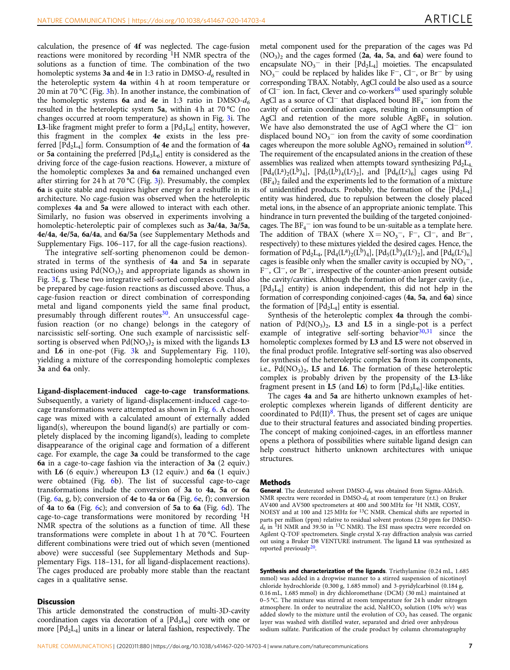calculation, the presence of 4f was neglected. The cage-fusion reactions were monitored by recording  $\rm{^{1}H}$  NMR spectra of the solutions as a function of time. The combination of the two homoleptic systems 3a and 4e in 1:3 ratio in DMSO-*d<sup>6</sup>* resulted in the heteroleptic system 4a within 4 h at room temperature or 20 min at 70 °C (Fig. [3h](#page-3-0)). In another instance, the combination of the homoleptic systems **6a** and **4e** in 1:3 ratio in DMSO- $d_6$ resulted in the heteroleptic system 5a, within 4 h at 70 °C (no changes occurred at room temperature) as shown in Fig. [3](#page-3-0)i. The **L3**-like fragment might prefer to form a  $[{\rm Pd}_3{\rm L}_6]$  entity, however, this fragment in the complex 4e exists in the less preferred  $[{\rm Pd}_2{\rm L}_4]$  form. Consumption of  $4e$  and the formation of  $4a$ or 5a containing the preferred  $[Pd_3L_6]$  entity is considered as the driving force of the cage-fusion reactions. However, a mixture of the homoleptic complexes 3a and 6a remained unchanged even after stirring for 24 h at 70 °C (Fig. [3j](#page-3-0)). Presumably, the complex 6a is quite stable and requires higher energy for a reshuffle in its architecture. No cage-fusion was observed when the heteroleptic complexes 4a and 5a were allowed to interact with each other. Similarly, no fusion was observed in experiments involving a homoleptic-heteroleptic pair of complexes such as 3a/4a, 3a/5a, 4e/4a, 4e/5a, 6a/4a, and 6a/5a (see Supplementary Methods and Supplementary Figs. 106–117, for all the cage-fusion reactions).

The integrative self-sorting phenomenon could be demonstrated in terms of the synthesis of 4a and 5a in separate reactions using  $Pd(NO<sub>3</sub>)<sub>2</sub>$  and appropriate ligands as shown in Fig. [3f](#page-3-0), g. These two integrative self-sorted complexes could also be prepared by cage-fusion reactions as discussed above. Thus, a cage-fusion reaction or direct combination of corresponding metal and ligand components yield the same final product, presumably through different routes $30$ . An unsuccessful cagefusion reaction (or no change) belongs in the category of narcissistic self-sorting. One such example of narcissistic selfsorting is observed when  $\mathrm{Pd}(\mathrm{NO}_3)_2$  is mixed with the ligands  $\mathbf{L3}$ and L6 in one-pot (Fig. [3](#page-3-0)k and Supplementary Fig. 110), yielding a mixture of the corresponding homoleptic complexes 3a and 6a only.

Ligand-displacement-induced cage-to-cage transformations. Subsequently, a variety of ligand-displacement-induced cage-tocage transformations were attempted as shown in Fig. [6](#page-7-0). A chosen cage was mixed with a calculated amount of externally added ligand(s), whereupon the bound ligand(s) are partially or completely displaced by the incoming ligand(s), leading to complete disappearance of the original cage and formation of a different cage. For example, the cage 3a could be transformed to the cage 6a in a cage-to-cage fashion via the interaction of 3a (2 equiv.) with L6 (6 equiv.) whereupon L3 (12 equiv.) and 6a (1 equiv.) were obtained (Fig. [6b](#page-7-0)). The list of successful cage-to-cage transformations include the conversion of 3a to 4a, 5a or 6a (Fig. [6a](#page-7-0), g, b); conversion of 4e to 4a or [6](#page-7-0)a (Fig. 6e, f); conversion of 4a to 6a (Fig. [6c](#page-7-0)); and conversion of 5a to 6a (Fig. [6](#page-7-0)d). The cage-to-cage transformations were monitored by recording  ${}^{1}H$ NMR spectra of the solutions as a function of time. All these transformations were complete in about 1 h at 70 °C. Fourteen different combinations were tried out of which seven (mentioned above) were successful (see Supplementary Methods and Supplementary Figs. 118–131, for all ligand-displacement reactions). The cages produced are probably more stable than the reactant cages in a qualitative sense.

#### **Discussion**

This article demonstrated the construction of multi-3D-cavity coordination cages via decoration of a [Pd3L<sup>6</sup> ] core with one or more  $[\text{Pd}_2\text{L}_4]$  units in a linear or lateral fashion, respectively. The

metal component used for the preparation of the cages was Pd  $(NO<sub>3</sub>)<sub>2</sub>$  and the cages formed (2a, 4a, 5a, and 6a) were found to encapsulate  $NO_3$ <sup>-</sup> in their  $[Pd_2L_4]$  moieties. The encapsulated  $NO<sub>3</sub><sup>−</sup>$  could be replaced by halides like F<sup>-</sup>, Cl<sup>-</sup>, or Br<sup>-</sup> by using corresponding TBAX. Notably, AgCl could be also used as a source of Cl<sup>−</sup> ion. In fact, Clever and co-workers<sup>[48](#page-10-0)</sup> used sparingly soluble AgCl as a source of Cl<sup>-</sup> that displaced bound  $BF_4^-$  ion from the cavity of certain coordination cages, resulting in consumption of AgCl and retention of the more soluble  $AgBF_4$  in solution. We have also demonstrated the use of AgCl where the Cl<sup>−</sup> ion displaced bound  $NO_3^-$  ion from the cavity of some coordination cages whereupon the more soluble  $AgNO<sub>3</sub>$  remained in solution<sup>[49](#page-10-0)</sup>. The requirement of the encapsulated anions in the creation of these assemblies was realized when attempts toward synthesizing  $Pd_2L_4$ ,  $[Pd_4(L^a)_2(L^b)_4]$ ,  $[Pd_5(L^b)_4(L^c)_2]$ , and  $[Pd_6(L^c)_6]$  cages using Pd  $(BF_4)_2$  failed and the experiments led to the formation of a mixture of unidentified products. Probably, the formation of the  $[Pd_2L_4]$ entity was hindered, due to repulsion between the closely placed metal ions, in the absence of an appropriate anionic template. This hindrance in turn prevented the building of the targeted conjoinedcages. The  $BF_4^-$  ion was found to be un-suitable as a template here. The addition of TBAX (where  $X = NO_3^-$ , F<sup>-</sup>, Cl<sup>-</sup>, and Br<sup>-</sup>, respectively) to these mixtures yielded the desired cages. Hence, the formation of Pd<sub>2</sub>L<sub>4</sub>, [Pd<sub>4</sub>(L<sup>a</sup>)<sub>2</sub>(L<sup>b</sup>)<sub>4</sub>], [Pd<sub>5</sub>(L<sup>b</sup>)<sub>4</sub>(L<sup>c</sup>)<sub>2</sub>], and [Pd<sub>6</sub>(L<sup>c</sup>)<sub>6</sub>] cages is feasible only when the smaller cavity is occupied by  $NO<sub>3</sub><sup>-1</sup>$ , F−, Cl−, or Br−, irrespective of the counter-anion present outside the cavity/cavities. Although the formation of the larger cavity (i.e.,  $[\text{Pd}_3\text{L}_6]$  entity) is anion independent, this did not help in the formation of corresponding conjoined-cages (4a, 5a, and 6a) since the formation of  $[{\rm Pd}_2{\rm L}_4]$  entity is essential.

Synthesis of the heteroleptic complex 4a through the combination of  $Pd(NO<sub>3</sub>)<sub>2</sub>$ , **L3** and **L5** in a single-pot is a perfect example of integrative self-sorting behavior $30,31$  $30,31$  $30,31$  since the homoleptic complexes formed by L3 and L5 were not observed in the final product profile. Integrative self-sorting was also observed for synthesis of the heteroleptic complex 5a from its components, i.e.,  $Pd(NO<sub>3</sub>)<sub>2</sub>$ , **L5** and **L6**. The formation of these heteroleptic complex is probably driven by the propensity of the L3-like fragment present in **L5** (and **L6**) to form  $[Pd_3L_6]$ -like entities.

The cages 4a and 5a are hitherto unknown examples of heteroleptic complexes wherein ligands of different denticity are coordinated to  $Pd(II)^8$  $Pd(II)^8$ . Thus, the present set of cages are unique due to their structural features and associated binding properties. The concept of making conjoined-cages, in an effortless manner opens a plethora of possibilities where suitable ligand design can help construct hitherto unknown architectures with unique structures.

#### Methods

General. The deuterated solvent DMSO-*d<sup>6</sup>* was obtained from Sigma-Aldrich. NMR spectra were recorded in DMSO-*d<sup>6</sup>* at room temperature (r.t.) on Bruker AV400 and AV500 spectrometers at 400 and 500 MHz for <sup>1</sup>H NMR, COSY, NOESY and at 100 and 125 MHz for <sup>13</sup>C NMR. Chemical shifts are reported in parts per million (ppm) relative to residual solvent protons (2.50 ppm for DMSO $d_6$  in <sup>1</sup>H NMR and 39.50 in <sup>13</sup>C NMR). The ESI mass spectra were recorded on Agilent Q-TOF spectrometers. Single crystal X-ray diffraction analysis was carried out using a Bruker D8 VENTURE instrument. The ligand L1 was synthesized as reported previously<sup>[20](#page-9-0)</sup>

Synthesis and characterization of the ligands. Triethylamine (0.24 mL, 1.685) mmol) was added in a dropwise manner to a stirred suspension of nicotinoyl chloride hydrochloride (0.300 g, 1.685 mmol) and 3-pyridylcarbinol (0.184 g, 0.16 mL, 1.685 mmol) in dry dichloromethane (DCM) (30 mL) maintained at 0–5 °C. The mixture was stirred at room temperature for 24 h under nitrogen atmosphere. In order to neutralize the acid, NaHCO<sub>3</sub> solution (10% *w/v*) was added slowly to the mixture until the evolution of  $CO<sub>2</sub>$  has ceased. The organic layer was washed with distilled water, separated and dried over anhydrous sodium sulfate. Purification of the crude product by column chromatography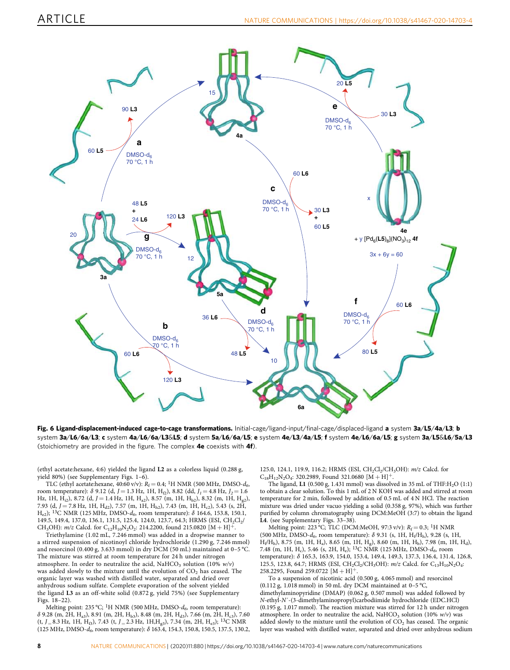<span id="page-7-0"></span>

Fig. 6 Ligand-displacement-induced cage-to-cage transformations. Initial-cage/ligand-input/final-cage/displaced-ligand a system 3a/L5/4a/L3; b system 3a/L6/6a/L3; c system 4a/L6/6a/L3&L5; d system 5a/L6/6a/L5; e system 4e/L3/4a/L5; f system 4e/L6/6a/L5; g system 3a/L5&L6/5a/L3 (stoichiometry are provided in the figure. The complex 4e coexists with 4f).

(ethyl acetate:hexane, 4:6) yielded the ligand L2 as a colorless liquid (0.288 g, yield 80%) (see Supplementary Figs. 1–6).

TLC (ethyl acetate:hexane, 40:60 v/v):  $R_f = 0.4$ ; <sup>1</sup>H NMR (500 MHz, DMSO- $d_6$ , room temperature): δ 9.12 (d, *J* = 1.3 Hz, 1H, Hf2), 8.82 (dd, *J1*= 4.8 Hz, *J2*= 1.6 Hz, 1H,  $H_{i2}$ ), 8.72 (d,  $J = 1.4$  Hz, 1H,  $H_{a2}$ ), 8.57 (m, 1H,  $H_{b2}$ ), 8.32 (m, 1H,  $H_{g2}$ ), 7.93 (d,  $J = 7.8$  Hz, 1H, H<sub>d2</sub>), 7.57 (m, 1H, H<sub>h2</sub>), 7.43 (m, 1H, H<sub>c2</sub>), 5.43 (s, 2H, He2); <sup>13</sup>C NMR (125 MHz, DMSO-*d<sup>6</sup>* , room temperature): δ 164.6, 153.8, 150.1, 149.5, 149.4, 137.0, 136.1, 131.5, 125.4, 124.0, 123.7, 64.3; HRMS (ESI,  $CH_2Cl_2/$ CH<sub>3</sub>OH):  $m/z$  Calcd. for C<sub>12</sub>H<sub>10</sub>N<sub>2</sub>O<sub>2</sub>: 214.2200, found 215.0820 [M + H]<sup>+</sup>.

Triethylamine (1.02 mL, 7.246 mmol) was added in a dropwise manner to a stirred suspension of nicotinoyl chloride hydrochloride (1.290 g, 7.246 mmol) and resorcinol (0.400 g, 3.633 mmol) in dry DCM (50 mL) maintained at 0–5 °C. The mixture was stirred at room temperature for 24 h under nitrogen atmosphere. In order to neutralize the acid,  $NAHCO<sub>3</sub>$  solution (10%  $w/v$ ) was added slowly to the mixture until the evolution of  $CO<sub>2</sub>$  has ceased. The organic layer was washed with distilled water, separated and dried over anhydrous sodium sulfate. Complete evaporation of the solvent yielded the ligand L3 as an off-white solid (0.872 g, yield 75%) (see Supplementary Figs. 18–22).

Melting point: 235 °C; <sup>1</sup>H NMR (500 MHz, DMSO- $d_6$ , room temperature):  $\delta$  9.28 (m, 2H, H<sub>a3</sub>), 8.91 (m, 2H, H<sub>b3</sub>), 8.48 (m, 2H, H<sub>d3</sub>), 7.66 (m, 2H, H<sub>c3</sub>), 7.60 (t, *J* <sup>=</sup> 8.3 Hz, 1H, Hf3), 7.43 (t, *J* <sup>=</sup> 2.3 Hz, 1H,Hg3), 7.34 (m, 2H, He3); <sup>13</sup>C NMR (125 MHz, DMSO-*d<sup>6</sup>* , room temperature): δ 163.4, 154.3, 150.8, 150.5, 137.5, 130.2,

125.0, 124.1, 119.9, 116.2; HRMS (ESI, CH<sub>2</sub>Cl<sub>2</sub>/CH<sub>3</sub>OH): *m/z* Calcd. for  $C_{18}H_{12}N_2O_4$ : 320.2989, Found 321.0680 [M + H]<sup>+</sup>.

The ligand, L1 (0.500 g, 1.431 mmol) was dissolved in 35 mL of THF: $H_2O$  (1:1) to obtain a clear solution. To this 1 mL of 2 N KOH was added and stirred at room temperature for 2 min, followed by addition of 0.5 mL of 4 N HCl. The reaction mixture was dried under vacuo yielding a solid (0.358 g, 97%), which was further purified by column chromatography using DCM:MeOH (3:7) to obtain the ligand L4. (see Supplementary Figs. 33–38).

Melting point: 223 °C; TLC (DCM:MeOH, 97:3 v/v):  $R_f = 0.3$ ; <sup>1</sup>H NMR (500 MHz, DMSO- $d_6$ , room temperature):  $\delta$  9.31 (s, 1H, H<sub>t</sub>/H<sub>h</sub>), 9.28 (s, 1H,  $H_f/H_h$ ), 8.75 (m, 1H, H<sub>a</sub>), 8.65 (m, 1H, H<sub>g</sub>), 8.60 (m, 1H, H<sub>b</sub>), 7.98 (m, 1H, H<sub>d</sub>), 7.48 (m, 1H, H<sup>c</sup> ), 5.46 (s, 2H, H<sup>e</sup> ); <sup>13</sup>C NMR (125 MHz, DMSO-*d<sup>6</sup>* , room temperature): δ 165.3, 163.9, 154.0, 153.4, 149.4, 149.3, 137.3, 136.4, 131.4, 126.8, 125.5, 123.8, 64.7; HRMS (ESI, CH<sub>2</sub>Cl<sub>2</sub>/CH<sub>3</sub>OH):  $m/z$  Calcd. for C<sub>13</sub>H<sub>10</sub>N<sub>2</sub>O<sub>4</sub> 258.2295, Found 259.0722 [M + H]

To a suspension of nicotinic acid (0.500 g, 4.065 mmol) and resorcinol (0.112 g, 1.018 mmol) in 50 mL dry DCM maintained at 0-5 °C, dimethylaminopyridine (DMAP) (0.062 g, 0.507 mmol) was added followed by *N*-ethyl-*N*´-(3-dimethylaminopropyl)carbodiimide hydrochloride (EDC.HCl) (0.195 g, 1.017 mmol). The reaction mixture was stirred for 12 h under nitrogen atmosphere. In order to neutralize the acid, NaHCO<sub>3</sub> solution (10% *w/v*) was added slowly to the mixture until the evolution of  $CO<sub>2</sub>$  has ceased. The organic layer was washed with distilled water, separated and dried over anhydrous sodium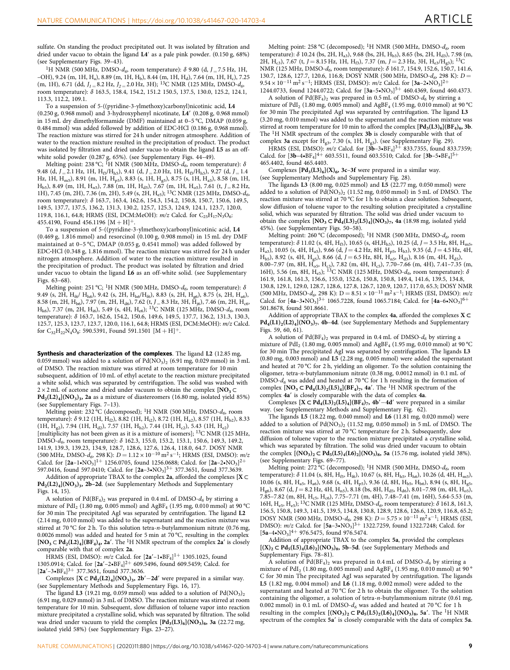sulfate. On standing the product precipitated out. It was isolated by filtration and dried under vacuo to obtain the ligand L4′ as a pale pink powder. (0.150 g, 68%) (see Supplementary Figs. 39–43).

<sup>1</sup>H NMR (500 MHz, DMSO- $d_6$ , room temperature):  $\delta$  9.80 (d, *J* = 7.5 Hz, 1H,  $-$ OH), 9.24 (m, 1H, H<sub>a</sub>), 8.89 (m, 1H, H<sub>b</sub>), 8.44 (m, 1H, H<sub>d</sub>), 7.64 (m, 1H, H<sub>c</sub>), 7.25 (m, 1H), 6.71 (dd, *J<sup>1</sup>* <sup>=</sup> 8.2 Hz, *J<sup>2</sup>* <sup>=</sup> 2.0 Hz, 3H); <sup>13</sup>C NMR (125 MHz, DMSO-*d<sup>6</sup>* , room temperature): δ 163.5, 158.4, 154.2, 151.2 150.5, 137.5, 130.0, 125.2, 124.1, 113.3, 112.2, 109.1.

To a suspension of 5-((pyridine-3-ylmethoxy)carbonyl)nicotinic acid, L4 (0.250 g, 0.968 mmol) and 3-hydroxyphenyl nicotinate, L4′ (0.208 g, 0.968 mmol) in 15 mL dry dimethylformamide (DMF) maintained at 0–5 °C, DMAP (0.059 g, 0.484 mmol) was added followed by addition of EDC·HCl (0.186 g, 0.968 mmol). The reaction mixture was stirred for 24 h under nitrogen atmosphere. Addition of water to the reaction mixture resulted in the precipitation of product. The product was isolated by filtration and dried under vacuo to obtain the ligand L5 as an offwhite solid powder (0.287 g, 65%). (see Supplementary Figs. 44–49).

Melting point: 238 °C; <sup>I</sup>H NMR (500 MHz, DMSO-d<sub>6</sub>, room temperature): δ 9.48 (d,  $J = 2.1$  Hz, 1H,  $H_{f5}/H_{h5}$ ), 9.41 (d,  $J = 2.0$  Hz, 1H,  $H_{f5}/H_{h5}$ ), 9.27 (d,  $J = 1.4$ Hz, 1H, H<sub>m5</sub>), 8.91 (m, 1H, H<sub>p5</sub>), 8.83 (s, 1H, H<sub>g5</sub>), 8.75 (s, 1H, H<sub>a5</sub>), 8.58 (m, 1H,  $H_{b5}$ ), 8.49 (m, 1H,  $H_{n5}$ ), 7.88 (m, 1H,  $H_{d5}$ ), 7.67 (m, 1H,  $H_{o5}$ ), 7.61 (t,  $J = 8.2$  Hz, 1H), 7.45 (m, 2H), 7.36 (m, 2H), 5.49 (s, 2H, He5); <sup>13</sup>C NMR (125 MHz, DMSO-*d<sup>6</sup>* , room temperature): δ 163.7, 163.4, 162.6, 154.3, 154.2, 150.8, 150.7, 150.6, 149.5, 149.5, 137.7, 137.5, 136.2, 131.3, 130.2, 125.7, 125.3, 124.9, 124.1, 123.7, 120.0, 119.8, 116.1, 64.8; HRMS (ESI, DCM:MeOH):  $m/z$  Calcd. for  $C_{25}H_{17}N_3O_6$ : 455.4190, Found 456.1196  $[M + H]$ <sup>+</sup>.

To a suspension of 5-((pyridine-3-ylmethoxy)carbonyl)nicotinic acid, L4 (0.469 g, 1.816 mmol) and resorcinol (0.100 g, 0.908 mmol) in 15 mL dry DMF maintained at 0–5 °C, DMAP (0.055 g, 0.4541 mmol) was added followed by EDC·HCl (0.348 g, 1.816 mmol). The reaction mixture was stirred for 24 h under nitrogen atmosphere. Addition of water to the reaction mixture resulted in the precipitation of product. The product was isolated by filtration and dried under vacuo to obtain the ligand L6 as an off-white solid. (see Supplementary Figs. 63–68).

Melting point: 251 °C; <sup>1</sup>H NMR (500 MHz, DMSO- $d_6$ , room temperature): δ 9.49 (s, 2H,  $H_{\text{f6}}/H_{\text{h6}}$ ), 9.42 (s, 2H,  $H_{\text{h6}}/H_{\text{f6}}$ ), 8.83 (s, 2H,  $H_{\text{g6}}$ ), 8.75 (s, 2H,  $H_{\text{a6}}$ ), 8.58 (m, 2H, H<sub>b6</sub>), 7.97 (m, 2H, H<sub>d6</sub>), 7.62 (t, *J* = 8.3 Hz, 3H, H<sub>j6</sub>), 7.46 (m, 2H, H<sub>c6</sub>,  $H_{\rm k6}$ ), 7.37 (m, 2H, H<sub>i6</sub>), 5.49 (s, 4H, H<sub>e6</sub>); <sup>13</sup>C NMR (125 MHz, DMSO-*d<sub>6</sub>*, room temperature): δ 163.7, 162.6, 154.2, 150.6, 149.6, 149.5, 137.7, 136.2, 131.3, 130.3, 125.7, 125.3, 123.7, 123.7, 120.0, 116.1, 64.8; HRMS (ESI, DCM:MeOH): *m/z* Calcd. for  $C_{32}H_{22}N_4O_8$ : 590.5391, Found 591.1501  $[M + H]$ <sup>+</sup>.

Synthesis and characterization of the complexes. The ligand L2 (12.85 mg, 0.059 mmol) was added to a solution of  $Pd(NO<sub>3</sub>)<sub>2</sub>$  (6.91 mg, 0.029 mmol) in 3 mL of DMSO. The reaction mixture was stirred at room temperature for 10 min subsequent, addition of 10 mL of ethyl acetate to the reaction mixture precipitated a white solid, which was separated by centrifugation. The solid was washed with  $2 \times 2$  mL of acetone and dried under vacuum to obtain the complex [NO<sub>3</sub>  $\subset$  $\text{Pd}_2\text{(L2)}_4\text{](NO}_3)$ <sub>3</sub>, 2a as a mixture of diastereomers (16.80 mg, isolated yield 85%) (see Supplementary Figs. 7–13).

Melting point: 232 °C (decomposed); <sup>1</sup>H NMR (500 MHz, DMSO- $d_6$ , room temperature):  $\delta$  9.12 (1H, H<sub>f2</sub>), 8.82 (1H, H<sub>i2</sub>), 8.72 (1H, H<sub>a2</sub>), 8.57 (1H, H<sub>b2</sub>), 8.33  $(1H, H_{e2}), 7.94$  (1H,  $H_{d2}$ ), 7.57 (1H,  $H_{h2}$ ), 7.44 (1H,  $H_{c2}$ ), 5.43 (1H,  $H_{e2}$ ) [multiplicity has not been given as it is a mixture of isomers]; <sup>13</sup>C NMR (125 MHz, DMSO-*d<sup>6</sup>* , room temperature): δ 162.3, 155.0, 153.2, 153.1, 150.6, 149.3, 149.2, 141.9, 139.3, 139.23, 134.9, 128.7, 128.6, 127.6, 126.4, 118.0, 64.7. DOSY NMR (500 MHz, DMSO-*d<sup>6</sup>* , 298 K): *D* = 1.12 × 10−<sup>10</sup> m<sup>2</sup> s−<sup>1</sup> ; HRMS (ESI, DMSO): *m/z* Calcd. for  $[2a-1 \cdot NO_3]$ <sup>1+</sup> 1256.0705, found 1256.0688; Calcd. for  $[2a-2 \cdot NO_3]$ <sup>2+</sup> 597.0416, found 597.0410; Calcd. for  $[2a-3\cdot NO_3]^{3+}$  377.3651, found 377.3639.

Addition of appropriate TBAX to the complex 2a, afforded the complexes  $[X \subset$ Pd<sub>2</sub>(L2)<sub>4</sub>](NO<sub>3</sub>)<sub>3</sub>, 2b-2d. (see Supplementary Methods and Supplementary Figs. 14, 15).

A solution of Pd(BF<sup>4</sup> )<sup>2</sup> was prepared in 0.4 mL of DMSO-*d<sup>6</sup>* by stirring a mixture of PdI<sup>2</sup> (1.80 mg, 0.005 mmol) and AgBF<sup>4</sup> (1.95 mg, 0.010 mmol) at 90 °C for 30 min The precipitated AgI was separated by centrifugation. The ligand L2 (2.14 mg, 0.010 mmol) was added to the supernatant and the reaction mixture was stirred at 70 °C for 2 h. To this solution tetra-*n*-butylammonium nitrate (0.76 mg, 0.0026 mmol) was added and heated for 5 min at 70 °C, resulting in the complex  $[NO<sub>3</sub> \subset Pd<sub>2</sub>(L2)<sub>4</sub>](BF<sub>4</sub>)<sub>4</sub>$ , 2a'. The <sup>1</sup>H NMR spectrum of the complex 2a' is closely comparable with that of complex 2a.

HRMS (ESI, DMSO):  $m/z$  Calcd. for  $[2a' - 1 \cdot BF_4]$ <sup>1+</sup> 1305.1025, found 1305.0914; Calcd. for  $[2a'-2\cdot BF_4]^{2+}$  609.5496, found 609.5459; Calcd. for  $[2a'-3•BF<sub>4</sub>]$ <sup>3+</sup> 377.3651, found 377.3636.

Complexes  $[X \subset Pd_2(L2)_4](NO_3)_3$ , 2b′-2d′ were prepared in a similar way. (see Supplementary Methods and Supplementary Figs. 16, 17).

The ligand L3 (19.21 mg, 0.059 mmol) was added to a solution of  $Pd(NO<sub>3</sub>)<sub>2</sub>$ (6.91 mg, 0.029 mmol) in 3 mL of DMSO. The reaction mixture was stirred at room temperature for 10 min. Subsequent, slow diffusion of toluene vapor into reaction mixture precipitated a crystalline solid, which was separated by filtration. The solid was dried under vacuum to yield the complex  $[{\bf Pd}_3({\bf L3})_6]({\bf NO}_3)_6$ , 3a (22.72 mg, isolated yield 58%) (see Supplementary Figs. 23–27).

Melting point: 258 °C (decomposed); <sup>1</sup>H NMR (500 MHz, DMSO- $d_6$ , room temperature):  $\delta$  10.24 (bs, 2H, H<sub>a3</sub>), 9.68 (bs, 2H, H<sub>b3</sub>), 8.65 (bs, 2H, H<sub>d3</sub>), 7.98 (m, 2H, H<sub>c3</sub>), 7.67 (t, *J* = 8.15 Hz, 1H, H<sub>f3</sub>), 7.37 (m, *J* = 2.3 Hz, 3H, H<sub>e3</sub>/H<sub>g3</sub>); <sup>13</sup>C NMR (125 MHz, DMSO- $d_6$ , room temperature): δ 161.7, 154.9, 152.6, 150.7, 141.6, 130.7, 128.6, 127.7, 120.6, 116.8; DOSY NMR (500 MHz, DMSO-*d<sup>6</sup>* , 298 K): *D* = 9.54 × 10<sup>-11</sup> m<sup>2</sup> s<sup>-1</sup>; HRMS (ESI, DMSO): *m/z* Calcd. for [3a-2•NO<sub>3</sub>]<sup>2+</sup> 1244.0733, found 1244.0722; Calcd. for  $[3a-5NO<sub>3</sub>]^{5+}$  460.4369, found 460.4373.

A solution of Pd(BF<sup>4</sup> )<sup>2</sup> was prepared in 0.5 mL of DMSO-*d<sup>6</sup>* by stirring a mixture of  $PdI<sub>2</sub>$  (1.80 mg, 0.005 mmol) and  $AgBF<sub>4</sub>$  (1.95 mg, 0.010 mmol) at 90 °C for 30 min The precipitated AgI was separated by centrifugation. The ligand L3 (3.20 mg, 0.010 mmol) was added to the supernatant and the reaction mixture was stirred at room temperature for 10 min to afford the complex  $[{\bf Pd}_{3}(L3)_{6}]({\bf BF}_{4})_{6}$ , 3b. The <sup>1</sup>H NMR spectrum of the complex 3b is closely comparable with that of complex 3a except for  $H_{g3}$ , 7.30 (s, 1H,  $H_{g3}$ ). (see Supplementary Fig. 29).

HRMS (ESI, DMSO):  $m/z$  Calcd. for  $[3b-3 \cdot BF_4]^{3+}$  833.7355, found 833.7359; Calcd. for  $[3b-4\cdot BF_4]^{4+}$  603.5511, found 603.5510; Calcd. for  $[3b-5\cdot BF_4]^{5+}$ 465.4402, found 465.4403.

Complexes  $[Pd_3(L3)_6](X)_6$ , 3c-3f were prepared in a similar way. (see Supplementary Methods and Supplementary Fig. 28).

The ligands L3 (8.00 mg, 0.025 mmol) and L5 (22.77 mg, 0.050 mmol) were added to a solution of  $Pd(NO<sub>3</sub>)<sub>2</sub>$  (11.52 mg, 0.050 mmol) in 5 mL of DMSO. The reaction mixture was stirred at 70 °C for 1 h to obtain a clear solution. Subsequent, slow diffusion of toluene vapor to the resulting solution precipitated a crystalline solid, which was separated by filtration. The solid was dried under vacuum to obtain the complex  $[NO_3 \subset Pd_4(L3)_2(L5)_4](NO_3)_7$ , 4a (18.98 mg, isolated yield 45%). (see Supplementary Figs. 50–58).

Melting point: 260 °C (decomposed); <sup>1</sup>H NMR (500 MHz, DMSO- $d_6$ , room temperature): δ 11.02 (s, 4H, H<sub>f5</sub>), 10.65 (s, 4H, H<sub>h5</sub>), 10.25 (d, *J* = 3.5 Hz, 8H, H<sub>m5</sub>, H<sub>a3</sub>), 10.05 (s, 4H, H<sub>a5</sub>), 9.66 (d, *J* = 4.2 Hz, 8H, H<sub>p5</sub>, H<sub>b3</sub>), 9.35 (d, *J* = 4.5 Hz, 4H,  $H_{\text{b5}}$ ), 8.92 (s, 4H,  $H_{\text{g5}}$ ), 8.66 (d, *J* = 6.5 Hz, 8H,  $H_{\text{n5}}$ ,  $H_{\text{d3}}$ ), 8.16 (m, 4H,  $H_{\text{d5}}$ ), 8.00–7.97 (m, 8H,  $\overline{H}_{0.5}$ , H<sub>c3</sub>), 7.82 (m, 4H, H<sub>c5</sub>), 7.70–7.66 (m, 4H), 7.41–7.35 (m, 16H), 5.56 (m, 8H, H<sub>e5</sub>); <sup>13</sup>C NMR (125 MHz, DMSO- $d_6$ , room temperature): δ 161.9, 161.8, 161.3, 156.6, 155.0, 152.6, 150.8, 150.8, 149.4, 141.6, 139.5, 134.8, 130.8, 129.1, 129.0, 128.7, 128.6, 127.8, 126.7, 120.9, 120.7, 117.0, 65.3; DOSY NMR (500 MHz, DMSO-*d*<sub>6</sub>, 298 K): D = 8.51 × 10<sup>-11</sup> m<sup>2</sup> s<sup>-1</sup>; HRMS (ESI, DMSO): *m/z* Calcd. for [4a–3•NO<sub>3</sub>]<sup>3+</sup> 1065.7228, found 1065.7184; Calcd. for [4a–6•NO<sub>3</sub>]<sup>6+</sup> 501.8678, found 501.8661.

Addition of appropriate TBAX to the complex  $4a,$  afforded the complexes  $\mathbf{X} \subset$  $Pd_4(L1)_2(L2)_4(NO_3)_7$ , 4b–4d. (see Supplementary Methods and Supplementary Figs. 59, 60, 61).

A solution of  $Pd(BF_4)$ <sub>2</sub> was prepared in 0.4 mL of DMSO- $d_6$  by stirring a mixture of  $PdI_2$  (1.80 mg, 0.005 mmol) and  $AgBF_4$  (1.95 mg, 0.010 mmol) at 90 °C for 30 min The precipitated AgI was separated by centrifugation. The ligands L3 (0.80 mg, 0.003 mmol) and L5 (2.28 mg, 0.005 mmol) were added the supernatant and heated at 70 °C for 2 h, yielding an oligomer. To the solution containing the oligomer, tetra-*n*-butylammonium nitrate (0.38 mg, 0.0012 mmol) in 0.1 mL of DMSO- $d_6$  was added and heated at 70 °C for 1 h resulting in the formation of complex  $[NO_3 \subset Pd_4(L3)_2(L5)_4](BF_4)_7$ , 4a'. The <sup>1</sup>H NMR spectrum of the complex 4a′ is closely comparable with the data of complex 4a.

Complexes  $[X \subset Pd_4(L3)_2(L5)_4] (BF_4)_7$ , 4b′ -4d′ were prepared in a similar way. (see Supplementary Methods and Supplementary Fig. 62).

The ligands L5 (18.22 mg, 0.040 mmol) and L6 (11.81 mg, 0.020 mmol) were added to a solution of  $Pd(NO<sub>3</sub>)<sub>2</sub>$  (11.52 mg, 0.050 mmol) in 5 mL of DMSO. The reaction mixture was stirred at 70 °C temperature for 2 h. Subsequently, slow diffusion of toluene vapor to the reaction mixture precipitated a crystalline solid, which was separated by filtration. The solid was dried under vacuum to obtain the complex  $[(NO<sub>3</sub>)<sub>2</sub> \subset Pd<sub>5</sub>(L5)<sub>4</sub>(Lo<sub>2</sub>](NO<sub>3</sub>)<sub>8</sub>$ , 5a (15.76 mg, isolated yield 38%). (see Supplementary Figs. 69–77).

Melting point: 272 °C (decomposed); <sup>1</sup>H NMR (500 MHz, DMSO- $d_6$ , room temperature): δ 11.04 (s, 8H, H<sub>f5</sub>, H<sub>f6</sub>), 10.67 (s, 8H, H<sub>h5</sub>, H<sub>h6</sub>), 10.26 (d, 4H, H<sub>m5</sub>), 10.06 (s, 8H, H<sub>a5</sub>, H<sub>a6</sub>), 9.68 (s, 4H, H<sub>p5</sub>), 9.36 (d, 8H, H<sub>b5</sub>, H<sub>b6</sub>), 8.94 (s, 8H, H<sub>g5</sub>,  $H_{\text{g6}}$ ), 8.67 (d, *J* = 8.2 Hz, 4H, H<sub>n5</sub>), 8.18 (bs, 8H, H<sub>d5</sub>, H<sub>d6</sub>), 8.01–7.98 (m, 4H, H<sub>o5</sub>)  $7.85$  – 7.82 (m, 8H, H<sub>c5</sub>, H<sub>c6</sub>), 7.75–7.71 (m, 4H), 7.48–7.41 (m, 16H), 5.64-5.53 (m, 16H, He5, He5); <sup>13</sup>C NMR (125 MHz, DMSO-*d<sup>6</sup>* , room temperature): δ 161.8, 161.3, 156.5, 150.8, 149.3, 141.5, 139.5, 134.8, 130.8, 128.9, 128.6, 126.6, 120.9, 116.8, 65.2; DOSY NMR (500 MHz, DMSO- $d_6$ , 298 K):  $D = 5.75 \times 10^{-11}$  m<sup>2</sup> s<sup>-1</sup>; HRMS (ESI, DMSO):  $m/z$  Calcd. for  $[5a-3-NO<sub>3</sub>]$ <sup>3+</sup> 1322.7259, found 1322.7248; Calcd. for  $[5a-4\cdot NO_3]^{4+}$  976.5475, found 976.5474.

Addition of appropriate TBAX to the complex 5a, provided the complexes  $[(X)_2 \subset Pd_5(L5)_4(L6)_2]$ (NO<sub>3</sub>)<sub>8</sub>, 5b–5d. (see Supplementary Methods and Supplementary Figs. 78–81).

A solution of Pd(BF<sup>4</sup> )<sup>2</sup> was prepared in 0.4 mL of DMSO-*d<sup>6</sup>* by stirring a mixture of PdI<sub>2</sub> (1.80 mg, 0.005 mmol) and AgBF<sub>4</sub> (1.95 mg, 0.010 mmol) at 90  $^{\circ}$ C for 30 min The precipitated AgI was separated by centrifugation. The ligands L5 (1.82 mg, 0.004 mmol) and L6 (1.18 mg, 0.002 mmol) were added to the supernatant and heated at 70 °C for 2 h to obtain the oligomer. To the solution containing the oligomer, a solution of tetra-*n*-butylammonium nitrate (0.61 mg, 0.002 mmol) in 0.1 mL of DMSO- $d_6$  was added and heated at 70 °C for 1 h resulting in the complex  $[(NO<sub>3</sub>)<sub>2</sub> \subset Pd<sub>5</sub>(L5)<sub>2</sub>(L6)<sub>4</sub>](NO<sub>3</sub>)<sub>8</sub>$ , 5a'. The <sup>1</sup>H NMR spectrum of the complex 5a′ is closely comparable with the data of complex 5a.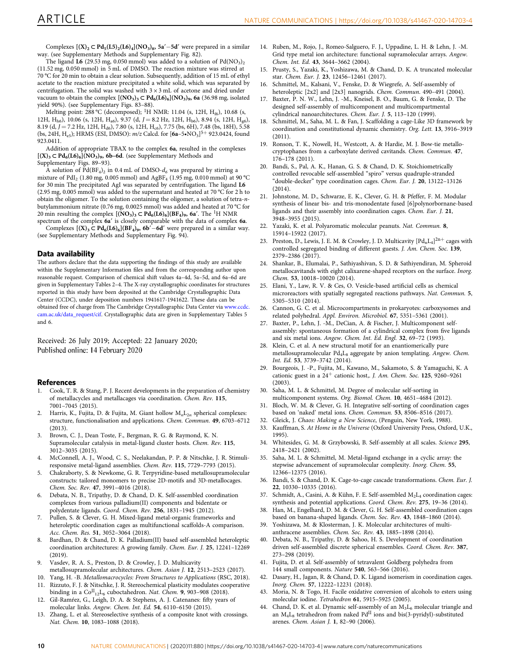<span id="page-9-0"></span>Complexes  $[(X)_2 \subset Pd_5(L5)_2(L6)_4] (NO_3)_8$ , 5a' -5d' were prepared in a similar way. (see Supplementary Methods and Supplementary Fig. 82).

The ligand **L6** (29.53 mg, 0.050 mmol) was added to a solution of  $Pd(NO<sub>3</sub>)<sub>2</sub>$ (11.52 mg, 0.050 mmol) in 5 mL of DMSO. The reaction mixture was stirred at 70 °C for 20 min to obtain a clear solution. Subsequently, addition of 15 mL of ethyl acetate to the reaction mixture precipitated a white solid, which was separated by centrifugation. The solid was washed with  $3 \times 3$  mL of acetone and dried under vacuum to obtain the complex  $[(NO<sub>3</sub>)<sub>3</sub> \subset P d<sub>6</sub>(Lo)<sub>6</sub>](NO<sub>3</sub>)<sub>9</sub>$ , 6a (36.98 mg, isolated yield 90%). (see Supplementary Figs. 83–88).

Melting point: 288 °C (decomposed); <sup>1</sup>H NMR: 11.04 (s, 12H, H<sub>f6</sub>), 10.68 (s, 12H, H<sub>h6</sub>), 10.06 (s, 12H, H<sub>a6</sub>), 9.37 (d, *J* = 8.2 Hz, 12H, H<sub>b6</sub>), 8.94 (s, 12H, H<sub>g6</sub>), 8.19 (d,  $J = 7.2$  Hz, 12H, H<sub>d6</sub>), 7.80 (s, 12H, H<sub>c6</sub>), 7.75 (bs, 6H), 7.48 (bs, 18H), 5.58 (bs, 24H, H<sub>e5</sub>); HRMS (ESI, DMSO):  $m/z$  Calcd. for  $[6a-5\cdot NO_3]^{5+}$  923.0424, found 923.0411.

Addition of appropriate TBAX to the complex 6a, resulted in the complexes  $[(X)_3 \subset Pd_6(L6)_6] (NO_3)_9$ , 6b–6d. (see Supplementary Methods and Supplementary Figs. 89–93).

A solution of  $Pd(BF_4)$ <sub>2</sub> in 0.4 mL of DMSO- $d_6$  was prepared by stirring a mixture of PdI<sub>2</sub> (1.80 mg, 0.005 mmol) and AgBF<sub>4</sub> (1.95 mg, 0.010 mmol) at 90 °C for 30 min The precipitated AgI was separated by centrifugation. The ligand L6 (2.95 mg, 0.005 mmol) was added to the supernatant and heated at 70 °C for 2 h to obtain the oligomer. To the solution containing the oligomer, a solution of tetra-*n*butylammonium nitrate (0.76 mg, 0.0025 mmol) was added and heated at 70 °C for 20 min resulting the complex  $[(NO_3)_3 \subset P d_6 (Lo)_6](BF_4)_9$ , 6a'. The <sup>1</sup>H NMR spectrum of the complex 6a′ is closely comparable with the data of complex 6a.

Complexes  $[(X)_3 \subset Pd_6(L6)_6](BF_4)_9$ , 6b<sup>'</sup>−6d' were prepared in a similar way. (see Supplementary Methods and Supplementary Fig. 94).

#### Data availability

The authors declare that the data supporting the findings of this study are available within the Supplementary Information files and from the corresponding author upon reasonable request. Comparison of chemical shift values 4a–4d, 5a–5d, and 6a–6d are given in Supplementary Tables 2–4. The X-ray crystallographic coordinates for structures reported in this study have been deposited at the Cambridge Crystallographic Data Center (CCDC), under deposition numbers 1941617-1941622. These data can be obtained free of charge from The Cambridge Crystallographic Data Center via [www.ccdc.](http://www.ccdc.cam.ac.uk/data_request/cif) [cam.ac.uk/data\\_request/cif](http://www.ccdc.cam.ac.uk/data_request/cif). Crystallographic data are given in Supplementary Tables 5 and 6.

Received: 26 July 2019; Accepted: 22 January 2020; Published online: 14 February 2020

#### References

- 1. Cook, T. R. & Stang, P. J. Recent developments in the preparation of chemistry of metallacycles and metallacages via coordination. *Chem. Rev.* 115, 7001–7045 (2015).
- 2. Harris, K., Fujita, D. & Fujita, M. Giant hollow  $M_nL_{2n}$  spherical complexes: structure, functionalisation and applications. *Chem. Commun.* 49, 6703–6712 (2013).
- 3. Brown, C. J., Dean Toste, F., Bergman, R. G. & Raymond, K. N. Supramolecular catalysis in metal-ligand cluster hosts. *Chem. Rev.* 115, 3012–3035 (2015).
- 4. McConnell, A. J., Wood, C. S., Neelakandan, P. P. & Nitschke, J. R. Stimuliresponsive metal-ligand assemblies. *Chem. Rev.* 115, 7729–7793 (2015).
- 5. Chakraborty, S. & Newkome, G. R. Terpyridine-based metallosupramolecular constructs: tailored monomers to precise 2D-motifs and 3D-metallocages. *Chem. Soc. Rev.* 47, 3991–4016 (2018).
- 6. Debata, N. B., Tripathy, D. & Chand, D. K. Self-assembled coordination complexes from various palladium(II) components and bidentate or polydentate ligands. *Coord. Chem. Rev.* 256, 1831–1945 (2012).
- 7. Pullen, S. & Clever, G. H. Mixed-ligand metal-organic frameworks and heteroleptic coordination cages as multifunctional scaffolds-A comparison. *Acc. Chem. Res.* 51, 3052–3064 (2018).
- 8. Bardhan, D. & Chand, D. K. Palladium(II) based self-assembled heteroleptic coordination architectures: A growing family. *Chem. Eur. J.* 25, 12241–12269 (2019).
- 9. Vasdev, R. A. S., Preston, D. & Crowley, J. D. Multicavity metallosupramolecular architectures. *Chem. Asian J.* 12, 2513–2523 (2017).
- 10. Yang, H. -B. *Metallomacrocycles: From Structures to Applications* (RSC, 2018).
- 11. Rizzuto, F. J. & Nitschke, J. R. Stereochemical plasticity modulates cooperative binding in a Co<sup>II</sup><sub>12</sub>L<sub>6</sub> cuboctahedron. *Nat. Chem.* 9, 903-908 (2018).
- 12. Gil-Ramŕez, G., Leigh, D. A. & Stephens, A. J. Catenanes: fifty years of molecular links. *Angew. Chem. Int. Ed.* 54, 6110–6150 (2015).
- 13. Zhang, L. et al. Stereoselective synthesis of a composite knot with crossings. *Nat. Chem.* 10, 1083–1088 (2018).
- 14. Ruben, M., Rojo, J., Romeo-Salguero, F. J., Uppadine, L. H. & Lehn, J. -M. Grid type metal ion architecture: functional supramolecular arrays. *Angew. Chem. Int. Ed.* 43, 3644–3662 (2004).
- 15. Prusty, S., Yazaki, K., Yoshizawa, M. & Chand, D. K. A truncated molecular star. *Chem. Eur. J.* 23, 12456–12461 (2017).
- 16. Schmittel, M., Kalsani, V., Fenske, D. & Wiegrefe, A. Self-assembly of heteroleptic [2x2] and [2x3] nanogrids. *Chem. Commun*. 490–491 (2004).
- 17. Baxter, P. N. W., Lehn, J. -M., Kneisel, B. O., Baum, G. & Fenske, D. The designed self-assembly of multicomponent and multicompartmental cylindrical nanoarchitectures. *Chem. Eur. J.* 5, 113–120 (1999).
- 18. Schmittel, M., Saha, M. L. & Fan, J. Scaffolding a cage-Like 3D framework by coordination and constitutional dynamic chemistry. *Org. Lett.* 13, 3916–3919 (2011).
- 19. Ronson, T. K., Nowell, H., Westcott, A. & Hardie, M. J. Bow-tie metallocryptophanes from a carboxylate derived cavitands. *Chem. Commun.* 47, 176–178 (2011).
- 20. Bandi, S., Pal, A. K., Hanan, G. S. & Chand, D. K. Stoichiometrically controlled revocable self-assembled "spiro" versus quadruple-stranded "double-decker" type coordination cages. *Chem. Eur. J.* 20, 13122–13126  $(2014)$
- 21. Johnstone, M. D., Schwarze, E. K., Clever, G. H. & Pfeffer, F. M. Modular synthesis of linear bis- and tris-monodentate fused [6]polynorbornane-based ligands and their assembly into coordination cages. *Chem. Eur. J.* 21, 3948–3955 (2015).
- 22. Yazaki, K. et al. Polyaromatic molecular peanuts. *Nat. Commun.* 8, 15914–15922 (2017).
- 23. Preston, D., Lewis, J. E. M. & Crowley, J. D. Multicavity  $[Pd_nL_4]^{2n+}$  cages with controlled segregated binding of different guests. *J. Am. Chem. Soc.* 139, 2379–2386 (2017).
- 24. Shankar, B., Elumalai, P., Sathiyashivan, S. D. & Sathiyendiran, M. Spheroid metallocavitands with eight calixarene-shaped receptors on the surface. *Inorg. Chem.* 53, 10018–10020 (2014).
- 25. Elani, Y., Law, R. V. & Ces, O. Vesicle-based artificial cells as chemical microreactors with spatially segregated reactions pathways. *Nat. Commun.* 5, 5305–5310 (2014).
- 26. Cannon, G. C. et al. Microcompartments in prokaryotes: carboxysomes and related polyhedral. *Appl. Environ. Microbiol.* 67, 5351–5361 (2001).
- 27. Baxter, P., Lehn, J. -M., DeCian, A. & Fischer, J. Multicomponent selfassembly: spontaneous formation of a cylindrical complex from five ligands and six metal ions. *Angew. Chem. Int. Ed. Engl.* 32, 69–72 (1993).
- Klein, C. et al. A new structural motif for an enantiomerically pure metallosupramolecular Pd4L<sup>8</sup> aggregate by anion templating. *Angew. Chem. Int. Ed.* 53, 3739–3742 (2014).
- 29. Bourgeois, J. -P., Fujita, M., Kawano, M., Sakamoto, S. & Yamaguchi, K. A cationic guest in a 24<sup>+</sup> cationic host,. *J. Am. Chem. Soc.* 125, 9260–9261 (2003).
- 30. Saha, M. L. & Schmittel, M. Degree of molecular self-sorting in multicomponent systems. *Org. Biomol. Chem.* 10, 4651–4684 (2012).
- Bloch, W. M. & Clever, G. H. Integrative self-sorting of coordination cages based on 'naked' metal ions. *Chem. Commun.* 53, 8506–8516 (2017).
- 32. Gleick, J. *Chaos: Making a New Science*, (Penguin, New York, 1988).
- 33. Kauffman, S. *At Home in the Universe* (Oxford University Press, Oxford, U.K., 1995).
- 34. Whitesides, G. M. & Grzybowski, B. Self-assembly at all scales. *Science* 295, 2418–2421 (2002).
- 35. Saha, M. L. & Schmittel, M. Metal-ligand exchange in a cyclic array: the stepwise advancement of supramolecular complexity. *Inorg. Chem.* 55, 12366–12375 (2016).
- 36. Bandi, S. & Chand, D. K. Cage-to-cage cascade transformations. *Chem. Eur. J.* 22, 10330–10335 (2016).
- 37. Schmidt, A., Casini, A. & Kühn, F. E. Self-assembled M<sub>2</sub>L<sub>4</sub> coordination cages: synthesis and potential applications. *Coord. Chem. Rev.* 275, 19–36 (2014).
- 38. Han, M., Engelhard, D. M. & Clever, G. H. Self-assembled coordination cages based on banana-shaped ligands. *Chem. Soc. Rev.* 43, 1848–1860 (2014).
- 39. Yoshizawa, M. & Klosterman, J. K. Molecular architectures of multianthracene assemblies. *Chem. Soc. Rev.* 43, 1885–1898 (2014).
- 40. Debata, N. B., Tripathy, D. & Sahoo, H. S. Development of coordination driven self-assembled discrete spherical ensembles. *Coord. Chem. Rev.* 387, 273–298 (2019).
- 41. Fujita, D. et al. Self-assembly of tetravalent Goldberg polyhedra from 144 small components. *Nature* 540, 563–566 (2016).
- 42. Dasary, H., Jagan, R. & Chand, D. K. Ligand isomerism in coordination cages. *Inorg. Chem.* 57, 12222–12231 (2018).
- 43. Moria, N. & Togo, H. Facile oxidative conversion of alcohols to esters using molecular iodine. *Tetrahedron* 61, 5915–5925 (2005).
- 44. Chand, D. K. et al. Dynamic self-assembly of an  $M_3L_6$  molecular triangle and an  $M_4L_8$  tetrahedron from naked  $Pd^{II}$  ions and bis(3-pyridyl)-substituted arenes. *Chem. Asian J.* 1, 82–90 (2006).